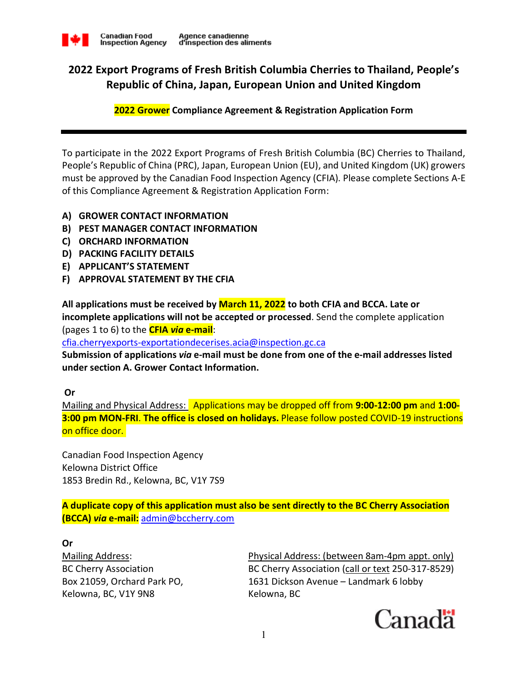

# **2022 Export Programs of Fresh British Columbia Cherries to Thailand, People's Republic of China, Japan, European Union and United Kingdom**

**2022 Grower Compliance Agreement & Registration Application Form**

To participate in the 2022 Export Programs of Fresh British Columbia (BC) Cherries to Thailand, People's Republic of China (PRC), Japan, European Union (EU), and United Kingdom (UK) growers must be approved by the Canadian Food Inspection Agency (CFIA). Please complete Sections A-E of this Compliance Agreement & Registration Application Form:

- **A) GROWER CONTACT INFORMATION**
- **B) PEST MANAGER CONTACT INFORMATION**
- **C) ORCHARD INFORMATION**
- **D) PACKING FACILITY DETAILS**
- **E) APPLICANT'S STATEMENT**
- **F) APPROVAL STATEMENT BY THE CFIA**

**All applications must be received by March 11, 2022 to both CFIA and BCCA. Late or incomplete applications will not be accepted or processed**. Send the complete application (pages 1 to 6) to the **CFIA** *via* **e-mail**:

cfia.cherryexports-exportationdecerises.acia@inspection.gc.ca

**Submission of applications** *via* **e-mail must be done from one of the e-mail addresses listed under section A. Grower Contact Information.** 

 **Or** 

Mailing and Physical Address: Applications may be dropped off from **9:00-12:00 pm** and **1:00- 3:00 pm MON-FRI**. **The office is closed on holidays.** Please follow posted COVID-19 instructions on office door.

Canadian Food Inspection Agency Kelowna District Office 1853 Bredin Rd., Kelowna, BC, V1Y 7S9

**A duplicate copy of this application must also be sent directly to the BC Cherry Association (BCCA)** *via* **e-mail:** admin@bccherry.com

**Or** 

Kelowna, BC, V1Y 9N8 Kelowna, BC

Mailing Address: Physical Address: (between 8am-4pm appt. only) BC Cherry Association BC Cherry Association (call or text 250-317-8529) Box 21059, Orchard Park PO, 1631 Dickson Avenue – Landmark 6 lobby

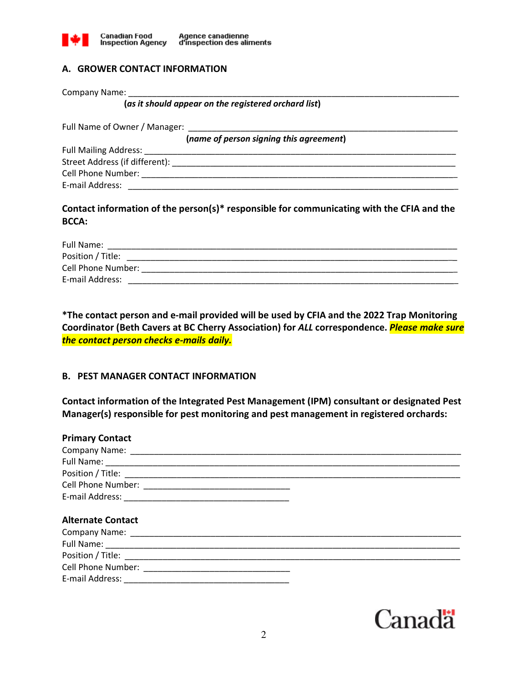

# **A. GROWER CONTACT INFORMATION**

Company Name:

**(***as it should appear on the registered orchard list***)** 

Full Name of Owner / Manager:

**(***name of person signing this agreement***)** 

Full Mailing Address: Street Address (if different): \_\_\_\_\_\_\_\_\_\_\_\_\_\_\_\_\_\_\_\_\_\_\_\_\_\_\_\_\_\_\_\_\_\_\_\_\_\_\_\_\_\_\_\_\_\_\_\_\_\_\_\_\_\_\_\_\_\_\_\_ Cell Phone Number: \_\_\_\_\_\_\_\_\_\_\_\_\_\_\_\_\_\_\_\_\_\_\_\_\_\_\_\_\_\_\_\_\_\_\_\_\_\_\_\_\_\_\_\_\_\_\_\_\_\_\_\_\_\_\_\_\_\_\_\_\_\_\_\_\_\_\_ E-mail Address: \_\_\_\_\_\_\_\_\_\_\_\_\_\_\_\_\_\_\_\_\_\_\_\_\_\_\_\_\_\_\_\_\_\_\_\_\_\_\_\_\_\_\_\_\_\_\_\_\_\_\_\_\_\_\_\_\_\_\_\_\_\_\_\_\_\_\_\_\_\_

**Contact information of the person(s)\* responsible for communicating with the CFIA and the BCCA:** 

| Full Name:         |
|--------------------|
| Position / Title:  |
| Cell Phone Number: |
| E-mail Address:    |

**\*The contact person and e-mail provided will be used by CFIA and the 2022 Trap Monitoring Coordinator (Beth Cavers at BC Cherry Association) for** *ALL* **correspondence.** *Please make sure the contact person checks e-mails daily.* 

#### **B. PEST MANAGER CONTACT INFORMATION**

**Contact information of the Integrated Pest Management (IPM) consultant or designated Pest Manager(s) responsible for pest monitoring and pest management in registered orchards:**

| <b>Primary Contact</b>                                                                                                  |
|-------------------------------------------------------------------------------------------------------------------------|
|                                                                                                                         |
|                                                                                                                         |
|                                                                                                                         |
|                                                                                                                         |
|                                                                                                                         |
|                                                                                                                         |
| <b>Alternate Contact</b>                                                                                                |
|                                                                                                                         |
|                                                                                                                         |
|                                                                                                                         |
| Full Name: <u>Contractor Communications</u> and Communications and Communications and Communications and Communications |
|                                                                                                                         |

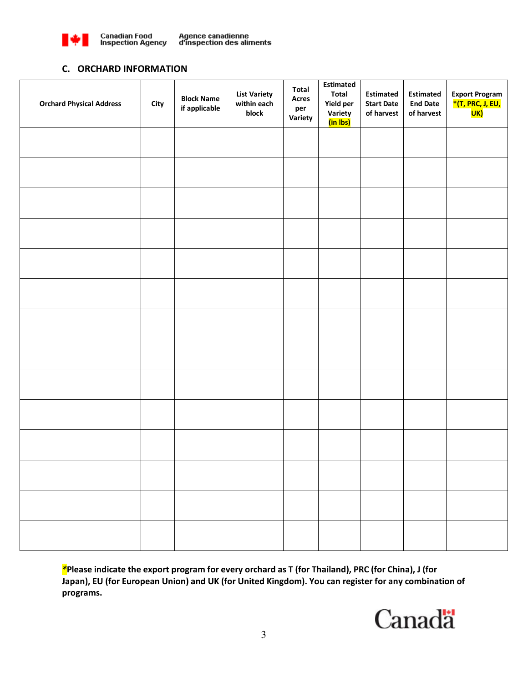

Agence canadienne<br>d'inspection des aliments

#### **C. ORCHARD INFORMATION**

| <b>Orchard Physical Address</b> | City | <b>Block Name</b><br>if applicable | <b>List Variety</b><br>within each<br>block | Total<br>Acres<br>per<br>Variety | <b>Estimated</b><br><b>Total</b><br>Yield per<br>Variety<br>(in Ibs) | <b>Estimated</b><br><b>Start Date</b><br>of harvest | <b>Estimated</b><br><b>End Date</b><br>of harvest | <b>Export Program</b><br>*(T, PRC, J, EU,<br><mark>UK)</mark> |
|---------------------------------|------|------------------------------------|---------------------------------------------|----------------------------------|----------------------------------------------------------------------|-----------------------------------------------------|---------------------------------------------------|---------------------------------------------------------------|
|                                 |      |                                    |                                             |                                  |                                                                      |                                                     |                                                   |                                                               |
|                                 |      |                                    |                                             |                                  |                                                                      |                                                     |                                                   |                                                               |
|                                 |      |                                    |                                             |                                  |                                                                      |                                                     |                                                   |                                                               |
|                                 |      |                                    |                                             |                                  |                                                                      |                                                     |                                                   |                                                               |
|                                 |      |                                    |                                             |                                  |                                                                      |                                                     |                                                   |                                                               |
|                                 |      |                                    |                                             |                                  |                                                                      |                                                     |                                                   |                                                               |
|                                 |      |                                    |                                             |                                  |                                                                      |                                                     |                                                   |                                                               |
|                                 |      |                                    |                                             |                                  |                                                                      |                                                     |                                                   |                                                               |
|                                 |      |                                    |                                             |                                  |                                                                      |                                                     |                                                   |                                                               |
|                                 |      |                                    |                                             |                                  |                                                                      |                                                     |                                                   |                                                               |
|                                 |      |                                    |                                             |                                  |                                                                      |                                                     |                                                   |                                                               |
|                                 |      |                                    |                                             |                                  |                                                                      |                                                     |                                                   |                                                               |
|                                 |      |                                    |                                             |                                  |                                                                      |                                                     |                                                   |                                                               |
|                                 |      |                                    |                                             |                                  |                                                                      |                                                     |                                                   |                                                               |

*\****Please indicate the export program for every orchard as T (for Thailand), PRC (for China), J (for Japan), EU (for European Union) and UK (for United Kingdom). You can register for any combination of programs.** 

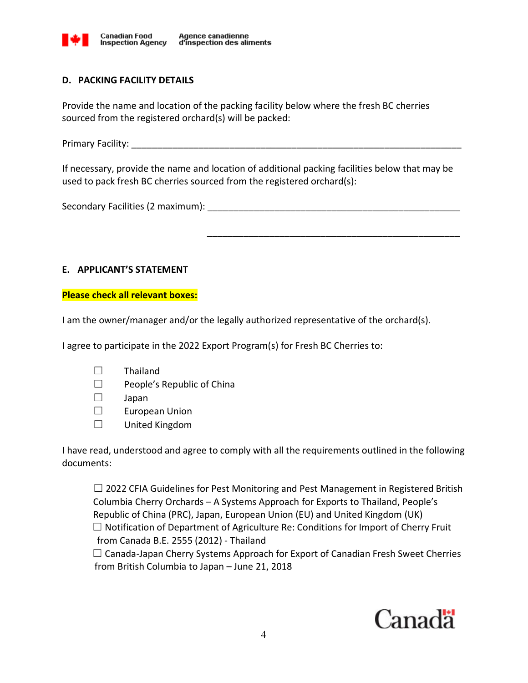

## **D. PACKING FACILITY DETAILS**

Provide the name and location of the packing facility below where the fresh BC cherries sourced from the registered orchard(s) will be packed:

Primary Facility: \_\_\_\_\_\_\_\_\_\_\_\_\_\_\_\_\_\_\_\_\_\_\_\_\_\_\_\_\_\_\_\_\_\_\_\_\_\_\_\_\_\_\_\_\_\_\_\_\_\_\_\_\_\_\_\_\_\_\_\_\_\_\_\_

If necessary, provide the name and location of additional packing facilities below that may be used to pack fresh BC cherries sourced from the registered orchard(s):

\_\_\_\_\_\_\_\_\_\_\_\_\_\_\_\_\_\_\_\_\_\_\_\_\_\_\_\_\_\_\_\_\_\_\_\_\_\_\_\_\_\_\_\_\_\_\_\_\_

Secondary Facilities (2 maximum):  $\frac{1}{2}$ 

## **E. APPLICANT'S STATEMENT**

**Please check all relevant boxes:** 

I am the owner/manager and/or the legally authorized representative of the orchard(s).

I agree to participate in the 2022 Export Program(s) for Fresh BC Cherries to:

- ☐ Thailand
- ☐ People's Republic of China
- ☐ Japan
- ☐ European Union
- ☐ United Kingdom

I have read, understood and agree to comply with all the requirements outlined in the following documents:

 $\Box$  2022 CFIA Guidelines for Pest Monitoring and Pest Management in Registered British Columbia Cherry Orchards – A Systems Approach for Exports to Thailand, People's Republic of China (PRC), Japan, European Union (EU) and United Kingdom (UK)  $\Box$  Notification of Department of Agriculture Re: Conditions for Import of Cherry Fruit from Canada B.E. 2555 (2012) - Thailand  $\Box$  Canada-Japan Cherry Systems Approach for Export of Canadian Fresh Sweet Cherries

from British Columbia to Japan – June 21, 2018

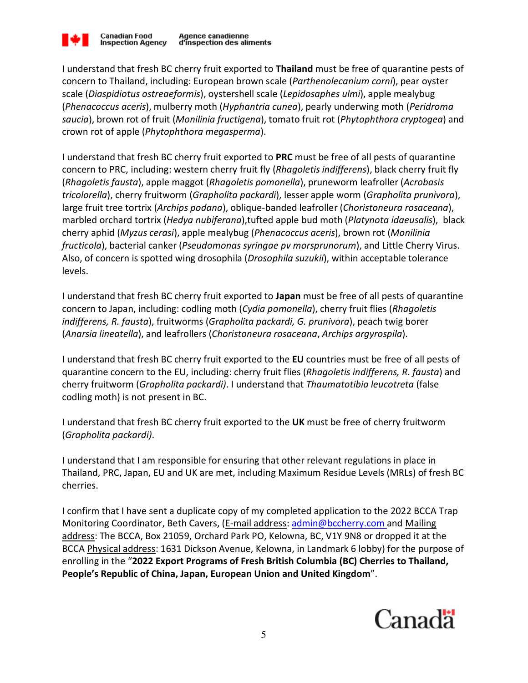

I understand that fresh BC cherry fruit exported to **Thailand** must be free of quarantine pests of concern to Thailand, including: European brown scale (*Parthenolecanium corni*), pear oyster scale (*Diaspidiotus ostreaeformis*), oystershell scale (*Lepidosaphes ulmi*), apple mealybug (*Phenacoccus aceris*), mulberry moth (*Hyphantria cunea*), pearly underwing moth (*Peridroma saucia*), brown rot of fruit (*Monilinia fructigena*), tomato fruit rot (*Phytophthora cryptogea*) and crown rot of apple (*Phytophthora megasperma*).

I understand that fresh BC cherry fruit exported to **PRC** must be free of all pests of quarantine concern to PRC, including: western cherry fruit fly (*Rhagoletis indifferens*), black cherry fruit fly (*Rhagoletis fausta*), apple maggot (*Rhagoletis pomonella*), pruneworm leafroller (*Acrobasis tricolorella*), cherry fruitworm (*Grapholita packardi*), lesser apple worm (*Grapholita prunivora*), large fruit tree tortrix (*Archips podana*), oblique-banded leafroller (*Choristoneura rosaceana*), marbled orchard tortrix (*Hedya nubiferana*),tufted apple bud moth (*Platynota idaeusalis*), black cherry aphid (*Myzus cerasi*), apple mealybug (*Phenacoccus aceris*), brown rot (*Monilinia fructicola*), bacterial canker (*Pseudomonas syringae pv morsprunorum*), and Little Cherry Virus. Also, of concern is spotted wing drosophila (*Drosophila suzukii*), within acceptable tolerance levels.

I understand that fresh BC cherry fruit exported to **Japan** must be free of all pests of quarantine concern to Japan, including: codling moth (*Cydia pomonella*), cherry fruit flies (*Rhagoletis indifferens, R. fausta*), fruitworms (*Grapholita packardi, G. prunivora*), peach twig borer (*Anarsia lineatella*), and leafrollers (*Choristoneura rosaceana*, *Archips argyrospila*).

I understand that fresh BC cherry fruit exported to the **EU** countries must be free of all pests of quarantine concern to the EU, including: cherry fruit flies (*Rhagoletis indifferens, R. fausta*) and cherry fruitworm (*Grapholita packardi)*. I understand that *Thaumatotibia leucotreta* (false codling moth) is not present in BC.

I understand that fresh BC cherry fruit exported to the **UK** must be free of cherry fruitworm (*Grapholita packardi)*.

I understand that I am responsible for ensuring that other relevant regulations in place in Thailand, PRC, Japan, EU and UK are met, including Maximum Residue Levels (MRLs) of fresh BC cherries.

I confirm that I have sent a duplicate copy of my completed application to the 2022 BCCA Trap Monitoring Coordinator, Beth Cavers, (E-mail address: admin@bccherry.com and Mailing address: The BCCA, Box 21059, Orchard Park PO, Kelowna, BC, V1Y 9N8 or dropped it at the BCCA Physical address: 1631 Dickson Avenue, Kelowna, in Landmark 6 lobby) for the purpose of enrolling in the "**2022 Export Programs of Fresh British Columbia (BC) Cherries to Thailand, People's Republic of China, Japan, European Union and United Kingdom**".